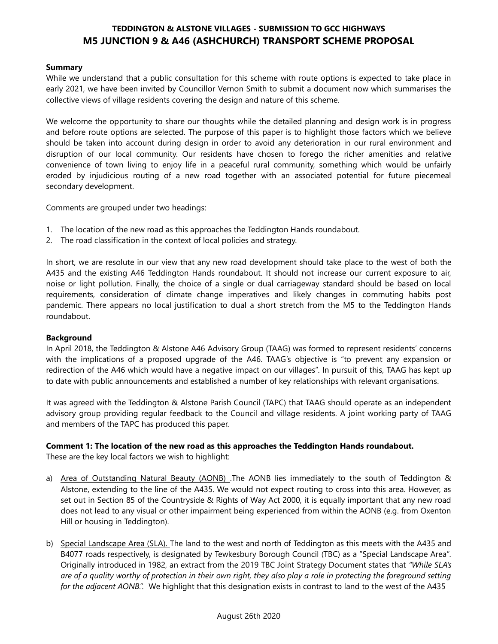# **TEDDINGTON & ALSTONE VILLAGES - SUBMISSION TO GCC HIGHWAYS M5 JUNCTION 9 & A46 (ASHCHURCH) TRANSPORT SCHEME PROPOSAL**

### **Summary**

While we understand that a public consultation for this scheme with route options is expected to take place in early 2021, we have been invited by Councillor Vernon Smith to submit a document now which summarises the collective views of village residents covering the design and nature of this scheme.

We welcome the opportunity to share our thoughts while the detailed planning and design work is in progress and before route options are selected. The purpose of this paper is to highlight those factors which we believe should be taken into account during design in order to avoid any deterioration in our rural environment and disruption of our local community. Our residents have chosen to forego the richer amenities and relative convenience of town living to enjoy life in a peaceful rural community, something which would be unfairly eroded by injudicious routing of a new road together with an associated potential for future piecemeal secondary development.

Comments are grouped under two headings:

- 1. The location of the new road as this approaches the Teddington Hands roundabout.
- 2. The road classification in the context of local policies and strategy.

In short, we are resolute in our view that any new road development should take place to the west of both the A435 and the existing A46 Teddington Hands roundabout. It should not increase our current exposure to air, noise or light pollution. Finally, the choice of a single or dual carriageway standard should be based on local requirements, consideration of climate change imperatives and likely changes in commuting habits post pandemic. There appears no local justification to dual a short stretch from the M5 to the Teddington Hands roundabout.

#### **Background**

In April 2018, the Teddington & Alstone A46 Advisory Group (TAAG) was formed to represent residents' concerns with the implications of a proposed upgrade of the A46. TAAG's objective is "to prevent any expansion or redirection of the A46 which would have a negative impact on our villages". In pursuit of this, TAAG has kept up to date with public announcements and established a number of key relationships with relevant organisations.

It was agreed with the Teddington & Alstone Parish Council (TAPC) that TAAG should operate as an independent advisory group providing regular feedback to the Council and village residents. A joint working party of TAAG and members of the TAPC has produced this paper.

### **Comment 1: The location of the new road as this approaches the Teddington Hands roundabout.**

These are the key local factors we wish to highlight:

- a) Area of Outstanding Natural Beauty (AONB) . The AONB lies immediately to the south of Teddington & Alstone, extending to the line of the A435. We would not expect routing to cross into this area. However, as set out in Section 85 of the Countryside & Rights of Way Act 2000, it is equally important that any new road does not lead to any visual or other impairment being experienced from within the AONB (e.g. from Oxenton Hill or housing in Teddington).
- b) Special Landscape Area (SLA). The land to the west and north of Teddington as this meets with the A435 and B4077 roads respectively, is designated by Tewkesbury Borough Council (TBC) as a "Special Landscape Area". Originally introduced in 1982, an extract from the 2019 TBC Joint Strategy Document states that *"While SLA's are of a quality worthy of protection in their own right, they also play a role in protecting the foreground setting for the adjacent AONB.".* We highlight that this designation exists in contrast to land to the west of the A435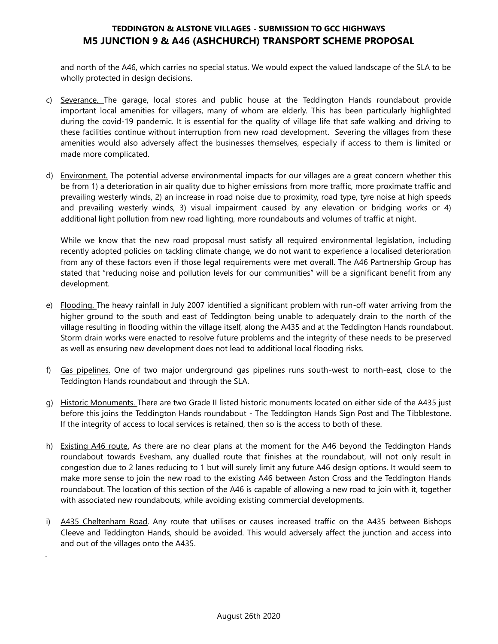# **TEDDINGTON & ALSTONE VILLAGES - SUBMISSION TO GCC HIGHWAYS M5 JUNCTION 9 & A46 (ASHCHURCH) TRANSPORT SCHEME PROPOSAL**

and north of the A46, which carries no special status. We would expect the valued landscape of the SLA to be wholly protected in design decisions.

- c) Severance. The garage, local stores and public house at the Teddington Hands roundabout provide important local amenities for villagers, many of whom are elderly. This has been particularly highlighted during the covid-19 pandemic. It is essential for the quality of village life that safe walking and driving to these facilities continue without interruption from new road development. Severing the villages from these amenities would also adversely affect the businesses themselves, especially if access to them is limited or made more complicated.
- d) Environment. The potential adverse environmental impacts for our villages are a great concern whether this be from 1) a deterioration in air quality due to higher emissions from more traffic, more proximate traffic and prevailing westerly winds, 2) an increase in road noise due to proximity, road type, tyre noise at high speeds and prevailing westerly winds, 3) visual impairment caused by any elevation or bridging works or 4) additional light pollution from new road lighting, more roundabouts and volumes of traffic at night.

While we know that the new road proposal must satisfy all required environmental legislation, including recently adopted policies on tackling climate change, we do not want to experience a localised deterioration from any of these factors even if those legal requirements were met overall. The A46 Partnership Group has stated that "reducing noise and pollution levels for our communities" will be a significant benefit from any development.

- e) Flooding. The heavy rainfall in July 2007 identified a significant problem with run-off water arriving from the higher ground to the south and east of Teddington being unable to adequately drain to the north of the village resulting in flooding within the village itself, along the A435 and at the Teddington Hands roundabout. Storm drain works were enacted to resolve future problems and the integrity of these needs to be preserved as well as ensuring new development does not lead to additional local flooding risks.
- f) Gas pipelines. One of two major underground gas pipelines runs south-west to north-east, close to the Teddington Hands roundabout and through the SLA.
- g) Historic Monuments. There are two Grade II listed historic monuments located on either side of the A435 just before this joins the Teddington Hands roundabout - The Teddington Hands Sign Post and The Tibblestone. If the integrity of access to local services is retained, then so is the access to both of these.
- h) Existing A46 route. As there are no clear plans at the moment for the A46 beyond the Teddington Hands roundabout towards Evesham, any dualled route that finishes at the roundabout, will not only result in congestion due to 2 lanes reducing to 1 but will surely limit any future A46 design options. It would seem to make more sense to join the new road to the existing A46 between Aston Cross and the Teddington Hands roundabout. The location of this section of the A46 is capable of allowing a new road to join with it, together with associated new roundabouts, while avoiding existing commercial developments.
- i) A435 Cheltenham Road. Any route that utilises or causes increased traffic on the A435 between Bishops Cleeve and Teddington Hands, should be avoided. This would adversely affect the junction and access into and out of the villages onto the A435.

.